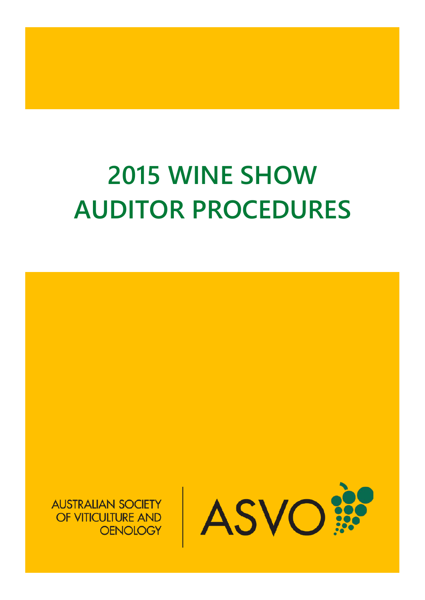# **2015 WINE SHOW AUDITOR PROCEDURES**

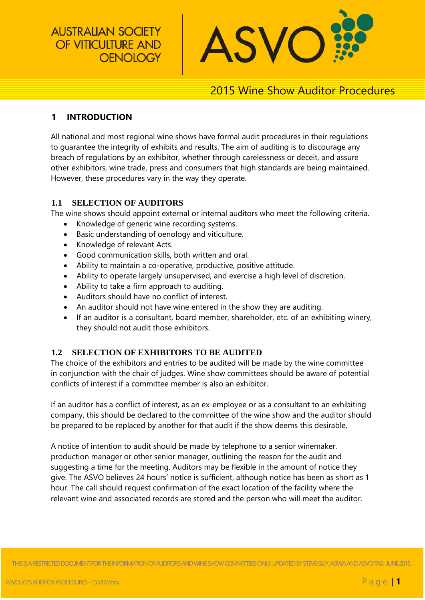**AUSTRALIAN SOCIETY** OF VITICULTURE AND **OENOLOGY** 



## 2015 Wine Show Auditor Procedures

#### **1 INTRODUCTION**

All national and most regional wine shows have formal audit procedures in their regulations to guarantee the integrity of exhibits and results. The aim of auditing is to discourage any breach of regulations by an exhibitor, whether through carelessness or deceit, and assure other exhibitors, wine trade, press and consumers that high standards are being maintained. However, these procedures vary in the way they operate.

#### **1.1 SELECTION OF AUDITORS**

The wine shows should appoint external or internal auditors who meet the following criteria.

- Knowledge of generic wine recording systems.
- Basic understanding of oenology and viticulture.
- Knowledge of relevant Acts.
- Good communication skills, both written and oral.
- Ability to maintain a co-operative, productive, positive attitude.
- Ability to operate largely unsupervised, and exercise a high level of discretion.
- Ability to take a firm approach to auditing.
- Auditors should have no conflict of interest.
- An auditor should not have wine entered in the show they are auditing.
- If an auditor is a consultant, board member, shareholder, etc. of an exhibiting winery, they should not audit those exhibitors.

#### **1.2 SELECTION OF EXHIBITORS TO BE AUDITED**

The choice of the exhibitors and entries to be audited will be made by the wine committee in conjunction with the chair of judges. Wine show committees should be aware of potential conflicts of interest if a committee member is also an exhibitor.

If an auditor has a conflict of interest, as an ex-employee or as a consultant to an exhibiting company, this should be declared to the committee of the wine show and the auditor should be prepared to be replaced by another for that audit if the show deems this desirable.

A notice of intention to audit should be made by telephone to a senior winemaker, production manager or other senior manager, outlining the reason for the audit and suggesting a time for the meeting. Auditors may be flexible in the amount of notice they give. The ASVO believes 24 hours' notice is sufficient, although notice has been as short as 1 hour. The call should request confirmation of the exact location of the facility where the relevant wine and associated records are stored and the person who will meet the auditor.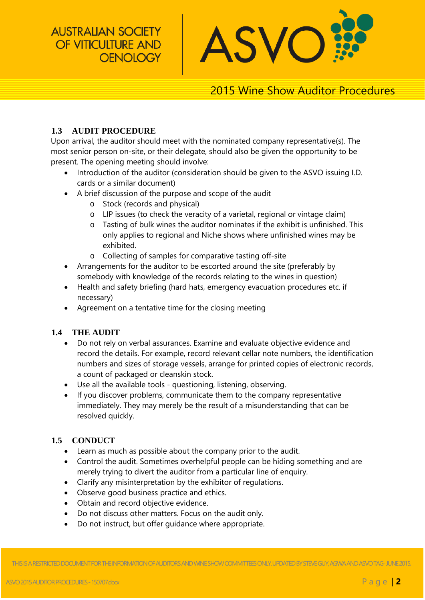**AUSTRALIAN SOCIETY** OF VITICULTURE AND **OENOLOGY** 



# 2015 Wine Show Auditor Procedures

#### **1.3 AUDIT PROCEDURE**

Upon arrival, the auditor should meet with the nominated company representative(s). The most senior person on-site, or their delegate, should also be given the opportunity to be present. The opening meeting should involve:

- Introduction of the auditor (consideration should be given to the ASVO issuing I.D. cards or a similar document)
- A brief discussion of the purpose and scope of the audit
	- o Stock (records and physical)
	- o LIP issues (to check the veracity of a varietal, regional or vintage claim)
	- o Tasting of bulk wines the auditor nominates if the exhibit is unfinished. This only applies to regional and Niche shows where unfinished wines may be exhibited.
	- o Collecting of samples for comparative tasting off-site
- Arrangements for the auditor to be escorted around the site (preferably by somebody with knowledge of the records relating to the wines in question)
- Health and safety briefing (hard hats, emergency evacuation procedures etc. if necessary)
- Agreement on a tentative time for the closing meeting

#### **1.4 THE AUDIT**

- Do not rely on verbal assurances. Examine and evaluate objective evidence and record the details. For example, record relevant cellar note numbers, the identification numbers and sizes of storage vessels, arrange for printed copies of electronic records, a count of packaged or cleanskin stock.
- Use all the available tools questioning, listening, observing.
- If you discover problems, communicate them to the company representative immediately. They may merely be the result of a misunderstanding that can be resolved quickly.

#### **1.5 CONDUCT**

- Learn as much as possible about the company prior to the audit.
- Control the audit. Sometimes overhelpful people can be hiding something and are merely trying to divert the auditor from a particular line of enquiry.
- Clarify any misinterpretation by the exhibitor of regulations.
- Observe good business practice and ethics.
- Obtain and record objective evidence.
- Do not discuss other matters. Focus on the audit only.
- Do not instruct, but offer guidance where appropriate.

THIS IS A RESTRICTED DOCUMENT FOR THE INFORMATION OF AUDITORS AND WINE SHOW COMMITTEES ONLY. UPDATED BY STEVE GUY, AGWA AND ASVO TAG-JUNE 2015.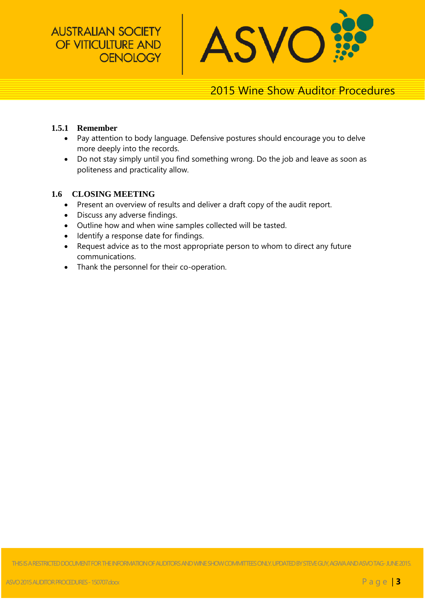**AUSTRALIAN SOCIETY** OF VITICULTURE AND **OENOLOGY** 



# 2015 Wine Show Auditor Procedures

#### **1.5.1 Remember**

- Pay attention to body language. Defensive postures should encourage you to delve more deeply into the records.
- Do not stay simply until you find something wrong. Do the job and leave as soon as politeness and practicality allow.

#### **1.6 CLOSING MEETING**

- Present an overview of results and deliver a draft copy of the audit report.
- Discuss any adverse findings.
- Outline how and when wine samples collected will be tasted.
- Identify a response date for findings.
- Request advice as to the most appropriate person to whom to direct any future communications.
- Thank the personnel for their co-operation.